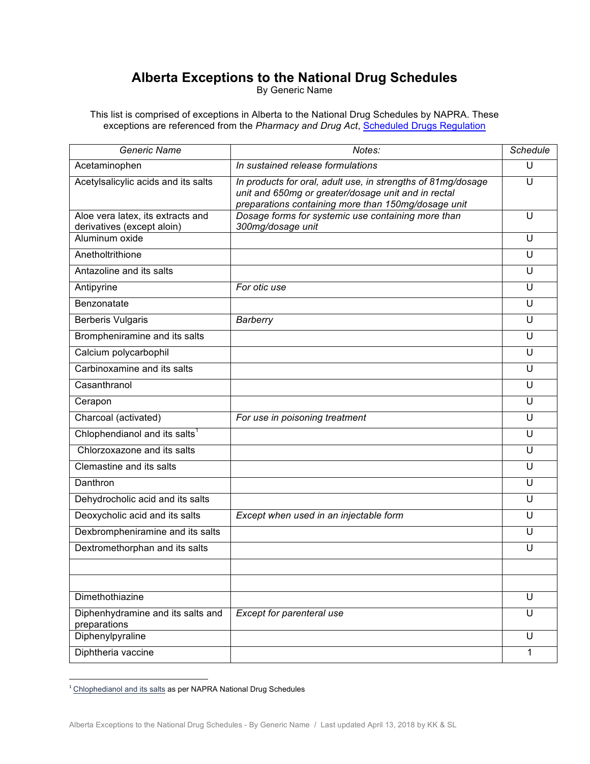## **Alberta Exceptions to the National Drug Schedules**

By Generic Name

This list is comprised of exceptions in Alberta to the National Drug Schedules by NAPRA. These exceptions are referenced from the *Pharmacy and Drug Act*, Scheduled Drugs Regulation

| Generic Name                                                    | Notes:                                                                                                                                                                     | Schedule |
|-----------------------------------------------------------------|----------------------------------------------------------------------------------------------------------------------------------------------------------------------------|----------|
| Acetaminophen                                                   | In sustained release formulations                                                                                                                                          | U        |
| Acetylsalicylic acids and its salts                             | In products for oral, adult use, in strengths of 81mg/dosage<br>unit and 650mg or greater/dosage unit and in rectal<br>preparations containing more than 150mg/dosage unit | U        |
| Aloe vera latex, its extracts and<br>derivatives (except aloin) | Dosage forms for systemic use containing more than<br>300mg/dosage unit                                                                                                    | U        |
| Aluminum oxide                                                  |                                                                                                                                                                            | U        |
| Anetholtrithione                                                |                                                                                                                                                                            | U        |
| Antazoline and its salts                                        |                                                                                                                                                                            | U        |
| Antipyrine                                                      | For otic use                                                                                                                                                               | U        |
| Benzonatate                                                     |                                                                                                                                                                            | U        |
| <b>Berberis Vulgaris</b>                                        | Barberry                                                                                                                                                                   | U        |
| Brompheniramine and its salts                                   |                                                                                                                                                                            | U        |
| Calcium polycarbophil                                           |                                                                                                                                                                            | U        |
| Carbinoxamine and its salts                                     |                                                                                                                                                                            | U        |
| Casanthranol                                                    |                                                                                                                                                                            | U        |
| Cerapon                                                         |                                                                                                                                                                            | U        |
| Charcoal (activated)                                            | For use in poisoning treatment                                                                                                                                             | U        |
| Chlophendianol and its salts <sup>1</sup>                       |                                                                                                                                                                            | U        |
| Chlorzoxazone and its salts                                     |                                                                                                                                                                            | U        |
| Clemastine and its salts                                        |                                                                                                                                                                            | U        |
| Danthron                                                        |                                                                                                                                                                            | U        |
| Dehydrocholic acid and its salts                                |                                                                                                                                                                            | U        |
| Deoxycholic acid and its salts                                  | Except when used in an injectable form                                                                                                                                     | U        |
| Dexbrompheniramine and its salts                                |                                                                                                                                                                            | U        |
| Dextromethorphan and its salts                                  |                                                                                                                                                                            | U        |
|                                                                 |                                                                                                                                                                            |          |
|                                                                 |                                                                                                                                                                            |          |
| Dimethothiazine                                                 |                                                                                                                                                                            | U        |
| Diphenhydramine and its salts and<br>preparations               | Except for parenteral use                                                                                                                                                  | U        |
| Diphenylpyraline                                                |                                                                                                                                                                            | U        |
| Diphtheria vaccine                                              |                                                                                                                                                                            | 1        |

 $1$  Chlophedianol and its salts as per NAPRA National Drug Schedules

<u> 1989 - Johann Barn, mars ar breithinn ar chuid ann an t-</u>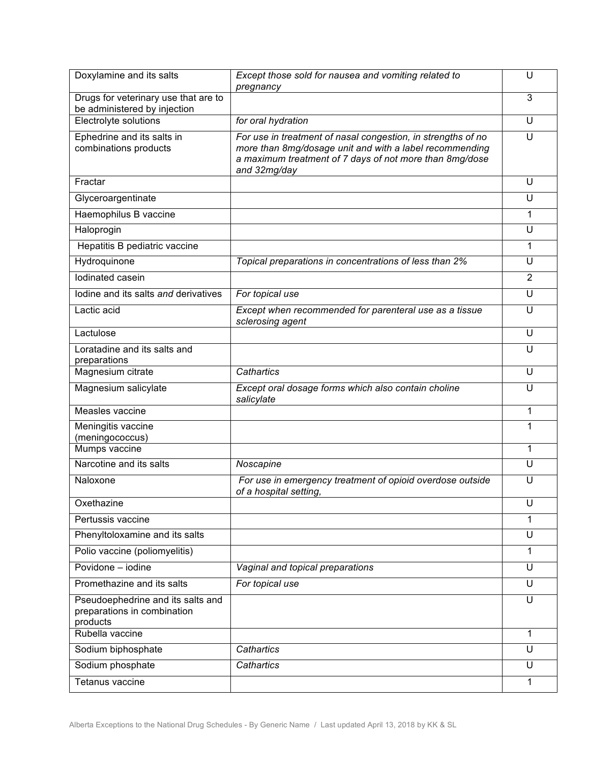| Doxylamine and its salts                                                     | Except those sold for nausea and vomiting related to<br>pregnancy                                                                                                                                  | U              |
|------------------------------------------------------------------------------|----------------------------------------------------------------------------------------------------------------------------------------------------------------------------------------------------|----------------|
| Drugs for veterinary use that are to<br>be administered by injection         |                                                                                                                                                                                                    | 3              |
| Electrolyte solutions                                                        | for oral hydration                                                                                                                                                                                 | U              |
| Ephedrine and its salts in<br>combinations products                          | For use in treatment of nasal congestion, in strengths of no<br>more than 8mg/dosage unit and with a label recommending<br>a maximum treatment of 7 days of not more than 8mg/dose<br>and 32mg/day | U              |
| Fractar                                                                      |                                                                                                                                                                                                    | U              |
| Glyceroargentinate                                                           |                                                                                                                                                                                                    | U              |
| Haemophilus B vaccine                                                        |                                                                                                                                                                                                    | 1              |
| Haloprogin                                                                   |                                                                                                                                                                                                    | U              |
| Hepatitis B pediatric vaccine                                                |                                                                                                                                                                                                    | 1              |
| Hydroquinone                                                                 | Topical preparations in concentrations of less than 2%                                                                                                                                             | U              |
| lodinated casein                                                             |                                                                                                                                                                                                    | $\overline{2}$ |
| lodine and its salts and derivatives                                         | For topical use                                                                                                                                                                                    | U              |
| Lactic acid                                                                  | Except when recommended for parenteral use as a tissue<br>sclerosing agent                                                                                                                         | U              |
| Lactulose                                                                    |                                                                                                                                                                                                    | U              |
| Loratadine and its salts and<br>preparations                                 |                                                                                                                                                                                                    | U              |
| Magnesium citrate                                                            | Cathartics                                                                                                                                                                                         | U              |
| Magnesium salicylate                                                         | Except oral dosage forms which also contain choline<br>salicylate                                                                                                                                  | U              |
| Measles vaccine                                                              |                                                                                                                                                                                                    | 1              |
| Meningitis vaccine<br>(meningococcus)                                        |                                                                                                                                                                                                    | 1              |
| Mumps vaccine                                                                |                                                                                                                                                                                                    | 1              |
| Narcotine and its salts                                                      | Noscapine                                                                                                                                                                                          | U              |
| Naloxone                                                                     | For use in emergency treatment of opioid overdose outside<br>of a hospital setting,                                                                                                                | U              |
| Oxethazine                                                                   |                                                                                                                                                                                                    | U              |
| Pertussis vaccine                                                            |                                                                                                                                                                                                    | 1              |
| Phenyltoloxamine and its salts                                               |                                                                                                                                                                                                    | U              |
| Polio vaccine (poliomyelitis)                                                |                                                                                                                                                                                                    | 1              |
| Povidone - jodine                                                            | Vaginal and topical preparations                                                                                                                                                                   | U              |
| Promethazine and its salts                                                   | For topical use                                                                                                                                                                                    | U              |
| Pseudoephedrine and its salts and<br>preparations in combination<br>products |                                                                                                                                                                                                    | U              |
| Rubella vaccine                                                              |                                                                                                                                                                                                    | 1              |
| Sodium biphosphate                                                           | Cathartics                                                                                                                                                                                         | U              |
| Sodium phosphate                                                             | Cathartics                                                                                                                                                                                         | U              |
| Tetanus vaccine                                                              |                                                                                                                                                                                                    | 1              |